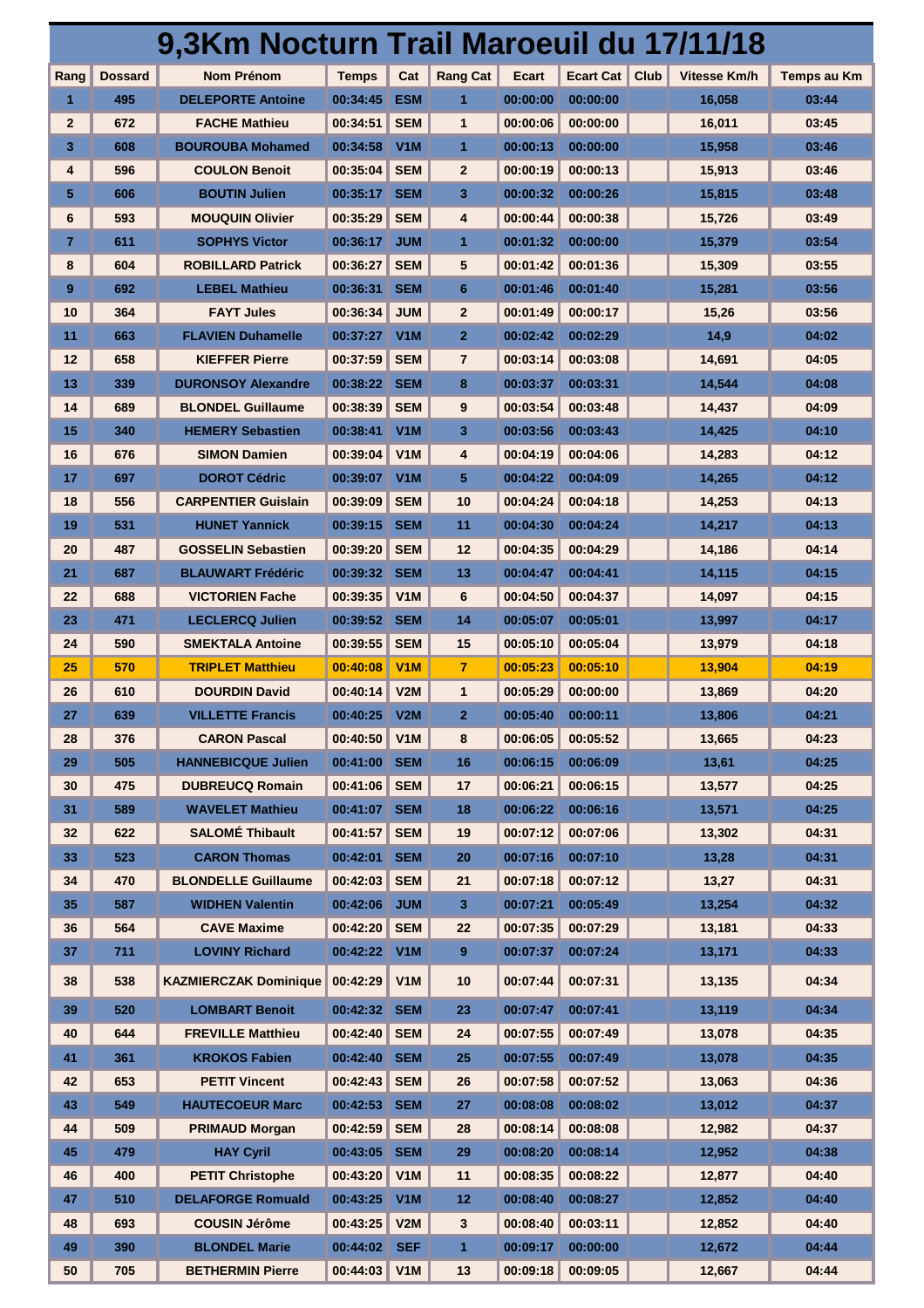|              |                | 9,3Km Nocturn Trail Maroeuil du 17/11/18 |              |                  |                 |          |                          |              |                    |
|--------------|----------------|------------------------------------------|--------------|------------------|-----------------|----------|--------------------------|--------------|--------------------|
| Rang         | <b>Dossard</b> | <b>Nom Prénom</b>                        | <b>Temps</b> | Cat              | <b>Rang Cat</b> | Ecart    | <b>Ecart Cat</b><br>Club | Vitesse Km/h | <b>Temps au Km</b> |
| 1            | 495            | <b>DELEPORTE Antoine</b>                 | 00:34:45     | <b>ESM</b>       | 1               | 00:00:00 | 00:00:00                 | 16,058       | 03:44              |
| $\mathbf{2}$ | 672            | <b>FACHE Mathieu</b>                     | 00:34:51     | <b>SEM</b>       | 1               | 00:00:06 | 00:00:00                 | 16,011       | 03:45              |
| 3            | 608            | <b>BOUROUBA Mohamed</b>                  | 00:34:58     | V <sub>1</sub> M | 1               | 00:00:13 | 00:00:00                 | 15,958       | 03:46              |
| 4            | 596            | <b>COULON Benoit</b>                     | 00:35:04     | <b>SEM</b>       | $\mathbf{2}$    | 00:00:19 | 00:00:13                 | 15,913       | 03:46              |
| 5            | 606            | <b>BOUTIN Julien</b>                     | 00:35:17     | <b>SEM</b>       | 3               | 00:00:32 | 00:00:26                 | 15,815       | 03:48              |
| 6            | 593            | <b>MOUQUIN Olivier</b>                   | 00:35:29     | <b>SEM</b>       | 4               | 00:00:44 | 00:00:38                 | 15,726       | 03:49              |
| 7.           | 611            | <b>SOPHYS Victor</b>                     | 00:36:17     | <b>JUM</b>       | 1               | 00:01:32 | 00:00:00                 | 15,379       | 03:54              |
| 8            | 604            | <b>ROBILLARD Patrick</b>                 | 00:36:27     | <b>SEM</b>       | 5               | 00:01:42 | 00:01:36                 | 15,309       | 03:55              |
| 9            | 692            | <b>LEBEL Mathieu</b>                     | 00:36:31     | <b>SEM</b>       | 6               | 00:01:46 | 00:01:40                 | 15,281       | 03:56              |
| 10           | 364            | <b>FAYT Jules</b>                        | 00:36:34     | <b>JUM</b>       | $\mathbf{2}$    | 00:01:49 | 00:00:17                 | 15,26        | 03:56              |
| 11           | 663            | <b>FLAVIEN Duhamelle</b>                 | 00:37:27     | V <sub>1</sub> M | $\overline{2}$  | 00:02:42 | 00:02:29                 | 14,9         | 04:02              |
| 12           | 658            | <b>KIEFFER Pierre</b>                    | 00:37:59     | <b>SEM</b>       | $\overline{7}$  | 00:03:14 | 00:03:08                 | 14,691       | 04:05              |
| 13           | 339            | <b>DURONSOY Alexandre</b>                | 00:38:22     | <b>SEM</b>       | 8               | 00:03:37 | 00:03:31                 | 14,544       | 04:08              |
| 14           | 689            | <b>BLONDEL Guillaume</b>                 | 00:38:39     | <b>SEM</b>       | 9               | 00:03:54 | 00:03:48                 | 14,437       | 04:09              |
| 15           | 340            | <b>HEMERY Sebastien</b>                  | 00:38:41     | V <sub>1</sub> M | 3               | 00:03:56 | 00:03:43                 | 14.425       | 04:10              |
| 16           | 676            | <b>SIMON Damien</b>                      | 00:39:04     | V1M              | 4               | 00:04:19 | 00:04:06                 | 14,283       | 04:12              |
| 17           | 697            | <b>DOROT Cédric</b>                      | 00:39:07     | V <sub>1</sub> M | 5               | 00:04:22 | 00:04:09                 | 14,265       | 04:12              |
| 18           | 556            | <b>CARPENTIER Guislain</b>               | 00:39:09     | <b>SEM</b>       | 10              | 00:04:24 | 00:04:18                 | 14,253       | 04:13              |
| 19           | 531            | <b>HUNET Yannick</b>                     | 00:39:15     | <b>SEM</b>       | 11              | 00:04:30 | 00:04:24                 | 14,217       | 04:13              |
| 20           | 487            | <b>GOSSELIN Sebastien</b>                | 00:39:20     | <b>SEM</b>       | 12              | 00:04:35 | 00:04:29                 | 14,186       | 04:14              |
| 21           | 687            | <b>BLAUWART Frédéric</b>                 | 00:39:32     | <b>SEM</b>       | 13              | 00:04:47 | 00:04:41                 | 14,115       | 04:15              |
| 22           | 688            | <b>VICTORIEN Fache</b>                   | 00:39:35     | V1M              | 6               | 00:04:50 | 00:04:37                 | 14,097       | 04:15              |
| 23           | 471            | <b>LECLERCQ Julien</b>                   | 00:39:52     | <b>SEM</b>       | 14              | 00:05:07 | 00:05:01                 | 13,997       | 04:17              |
| 24           | 590            | <b>SMEKTALA Antoine</b>                  | 00:39:55     | <b>SEM</b>       | 15              | 00:05:10 | 00:05:04                 | 13,979       | 04:18              |
| 25           | 570            | <b>TRIPLET Matthieu</b>                  | 00:40:08     | V1M              | 7               | 00:05:23 | 00:05:10                 | 13,904       | 04:19              |
| 26           | 610            | <b>DOURDIN David</b>                     | 00:40:14     | V2M              | 1               | 00:05:29 | 00:00:00                 | 13,869       | 04:20              |
| 27           | 639            | <b>VILLETTE Francis</b>                  | 00:40:25     | V2M              | $\overline{2}$  | 00:05:40 | 00:00:11                 | 13,806       | 04:21              |
| 28           | 376            | <b>CARON Pascal</b>                      | 00:40:50     | V <sub>1</sub> M | 8               | 00:06:05 | 00:05:52                 | 13,665       | 04:23              |
| 29           | 505            | <b>HANNEBICQUE Julien</b>                | 00:41:00     | <b>SEM</b>       | 16              | 00:06:15 | 00:06:09                 | 13,61        | 04:25              |
| 30           | 475            | <b>DUBREUCQ Romain</b>                   | 00:41:06     | <b>SEM</b>       | 17              | 00:06:21 | 00:06:15                 | 13,577       | 04:25              |
| 31           | 589            | <b>WAVELET Mathieu</b>                   | 00:41:07 SEM |                  | 18              | 00:06:22 | 00:06:16                 | 13,571       | 04:25              |
| 32           | 622            | <b>SALOMÉ Thibault</b>                   | 00:41:57     | <b>SEM</b>       | 19              | 00:07:12 | 00:07:06                 | 13,302       | 04:31              |
| 33           | 523            | <b>CARON Thomas</b>                      | 00:42:01     | <b>SEM</b>       | 20              | 00:07:16 | 00:07:10                 | 13,28        | 04:31              |
| 34           | 470            | <b>BLONDELLE Guillaume</b>               | 00:42:03     | <b>SEM</b>       | 21              | 00:07:18 | 00:07:12                 | 13,27        | 04:31              |
| 35           | 587            | <b>WIDHEN Valentin</b>                   | 00:42:06     | <b>JUM</b>       | 3               | 00:07:21 | 00:05:49                 | 13,254       | 04:32              |
| 36           | 564            | <b>CAVE Maxime</b>                       | 00:42:20     | <b>SEM</b>       | 22              | 00:07:35 | 00:07:29                 | 13,181       | 04:33              |
| 37           | 711            | <b>LOVINY Richard</b>                    | 00:42:22     | V <sub>1</sub> M | 9               | 00:07:37 | 00:07:24                 | 13,171       | 04:33              |
| 38           | 538            | <b>KAZMIERCZAK Dominique</b>             | 00:42:29     | V1M              | 10              | 00:07:44 | 00:07:31                 | 13,135       | 04:34              |
| 39           | 520            | <b>LOMBART Benoit</b>                    | 00:42:32     | <b>SEM</b>       | 23              | 00:07:47 | 00:07:41                 | 13,119       | 04:34              |
| 40           | 644            | <b>FREVILLE Matthieu</b>                 | 00:42:40     | <b>SEM</b>       | 24              | 00:07:55 | 00:07:49                 | 13,078       | 04:35              |
| 41           | 361            | <b>KROKOS Fabien</b>                     | 00:42:40     | <b>SEM</b>       | 25              | 00:07:55 | 00:07:49                 | 13,078       | 04:35              |
| 42           | 653            | <b>PETIT Vincent</b>                     | 00:42:43     | <b>SEM</b>       | 26              | 00:07:58 | 00:07:52                 | 13,063       | 04:36              |
| 43           | 549            | <b>HAUTECOEUR Marc</b>                   | 00:42:53 SEM |                  | 27              | 00:08:08 | 00:08:02                 | 13,012       | 04:37              |
| 44           | 509            | <b>PRIMAUD Morgan</b>                    | 00:42:59     | <b>SEM</b>       | 28              | 00:08:14 | 00:08:08                 | 12,982       | 04:37              |
| 45           | 479            | <b>HAY Cyril</b>                         | 00:43:05 SEM |                  | 29              | 00:08:20 | 00:08:14                 | 12,952       | 04:38              |
| 46           | 400            | <b>PETIT Christophe</b>                  | 00:43:20     | V <sub>1</sub> M | 11              | 00:08:35 | 00:08:22                 | 12,877       | 04:40              |
| 47           | 510            | <b>DELAFORGE Romuald</b>                 | 00:43:25 V1M |                  | 12              | 00:08:40 | 00:08:27                 | 12,852       | 04:40              |
| 48           | 693            | <b>COUSIN Jérôme</b>                     | 00:43:25     | V2M              | 3               | 00:08:40 | 00:03:11                 | 12,852       | 04:40              |
| 49           | 390            | <b>BLONDEL Marie</b>                     | 00:44:02     | <b>SEF</b>       | $\mathbf{1}$    | 00:09:17 | 00:00:00                 | 12,672       | 04:44              |
| 50           | 705            | <b>BETHERMIN Pierre</b>                  | 00:44:03     | V1M              | 13              | 00:09:18 | 00:09:05                 | 12,667       | 04:44              |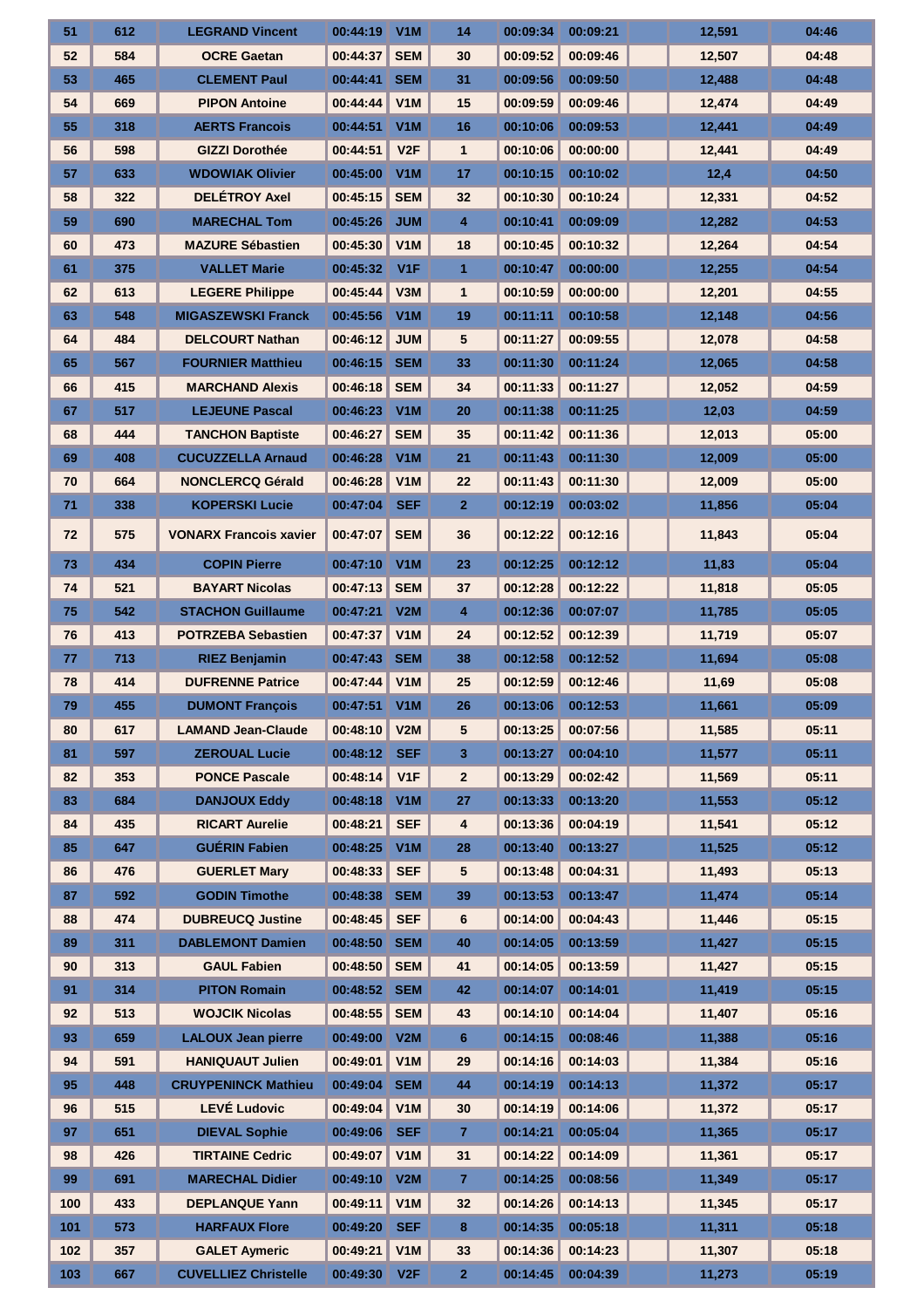| 51  | 612 | <b>LEGRAND Vincent</b>        | 00:44:19     | V1M              | 14                      | 00:09:34 | 00:09:21 | 12,591 | 04:46 |
|-----|-----|-------------------------------|--------------|------------------|-------------------------|----------|----------|--------|-------|
| 52  | 584 | <b>OCRE Gaetan</b>            | 00:44:37     | <b>SEM</b>       | 30                      | 00:09:52 | 00:09:46 | 12,507 | 04:48 |
| 53  | 465 | <b>CLEMENT Paul</b>           | 00:44:41     | <b>SEM</b>       | 31                      | 00:09:56 | 00:09:50 | 12,488 | 04:48 |
| 54  | 669 | <b>PIPON Antoine</b>          | 00:44:44     | V <sub>1</sub> M | 15                      | 00:09:59 | 00:09:46 | 12,474 | 04:49 |
| 55  | 318 | <b>AERTS Francois</b>         | 00:44:51     | V1M              | 16                      | 00:10:06 | 00:09:53 | 12,441 | 04:49 |
| 56  | 598 | <b>GIZZI Dorothée</b>         | 00:44:51     | V2F              | $\mathbf{1}$            | 00:10:06 | 00:00:00 | 12,441 | 04:49 |
| 57  | 633 | <b>WDOWIAK Olivier</b>        | 00:45:00     | V1M              | 17                      | 00:10:15 | 00:10:02 | 12,4   | 04:50 |
| 58  | 322 | <b>DELÉTROY Axel</b>          | 00:45:15     | <b>SEM</b>       | 32                      | 00:10:30 | 00:10:24 | 12,331 | 04:52 |
| 59  | 690 | <b>MARECHAL Tom</b>           | 00:45:26     | <b>JUM</b>       | $\overline{\mathbf{4}}$ | 00:10:41 | 00:09:09 | 12,282 | 04:53 |
| 60  | 473 | <b>MAZURE Sébastien</b>       | 00:45:30     | V1M              | 18                      | 00:10:45 | 00:10:32 | 12,264 | 04:54 |
| 61  | 375 | <b>VALLET Marie</b>           | 00:45:32     | V1F              | $\mathbf{1}$            | 00:10:47 | 00:00:00 | 12,255 | 04:54 |
| 62  | 613 | <b>LEGERE Philippe</b>        | 00:45:44     | V3M              | $\mathbf{1}$            | 00:10:59 | 00:00:00 | 12,201 | 04:55 |
| 63  | 548 | <b>MIGASZEWSKI Franck</b>     | 00:45:56     | V1M              | 19                      | 00:11:11 | 00:10:58 | 12,148 | 04:56 |
| 64  | 484 | <b>DELCOURT Nathan</b>        | 00:46:12     | <b>JUM</b>       | 5                       | 00:11:27 | 00:09:55 | 12,078 | 04:58 |
| 65  | 567 | <b>FOURNIER Matthieu</b>      | 00:46:15     | <b>SEM</b>       | 33                      | 00:11:30 | 00:11:24 | 12,065 | 04:58 |
| 66  | 415 | <b>MARCHAND Alexis</b>        | 00:46:18     | <b>SEM</b>       | 34                      | 00:11:33 | 00:11:27 | 12,052 | 04:59 |
| 67  | 517 | <b>LEJEUNE Pascal</b>         | 00:46:23     | V1M              | 20                      | 00:11:38 | 00:11:25 | 12,03  | 04:59 |
| 68  | 444 | <b>TANCHON Baptiste</b>       | 00:46:27     | <b>SEM</b>       | 35                      | 00:11:42 | 00:11:36 | 12,013 | 05:00 |
| 69  | 408 | <b>CUCUZZELLA Arnaud</b>      | 00:46:28     | V1M              | 21                      | 00:11:43 | 00:11:30 | 12,009 | 05:00 |
| 70  | 664 | <b>NONCLERCQ Gérald</b>       | 00:46:28     | V <sub>1</sub> M | 22                      | 00:11:43 | 00:11:30 | 12,009 | 05:00 |
| 71  | 338 | <b>KOPERSKI Lucie</b>         | 00:47:04     | <b>SEF</b>       | $\overline{2}$          | 00:12:19 | 00:03:02 | 11,856 | 05:04 |
| 72  | 575 | <b>VONARX Francois xavier</b> | 00:47:07     | <b>SEM</b>       | 36                      | 00:12:22 | 00:12:16 | 11,843 | 05:04 |
| 73  | 434 | <b>COPIN Pierre</b>           | 00:47:10     | V1M              | 23                      | 00:12:25 | 00:12:12 | 11,83  | 05:04 |
| 74  | 521 | <b>BAYART Nicolas</b>         | 00:47:13     | <b>SEM</b>       | 37                      | 00:12:28 | 00:12:22 | 11,818 | 05:05 |
| 75  | 542 | <b>STACHON Guillaume</b>      | 00:47:21     | V2M              | $\overline{\mathbf{4}}$ | 00:12:36 | 00:07:07 | 11,785 | 05:05 |
| 76  | 413 | <b>POTRZEBA Sebastien</b>     | 00:47:37     | V1M              | 24                      | 00:12:52 | 00:12:39 | 11,719 | 05:07 |
| 77  | 713 | <b>RIEZ Benjamin</b>          | 00:47:43     | <b>SEM</b>       | 38                      | 00:12:58 | 00:12:52 | 11,694 | 05:08 |
| 78  | 414 | <b>DUFRENNE Patrice</b>       | 00:47:44     | V1M              | 25                      | 00:12:59 | 00:12:46 | 11,69  | 05:08 |
| 79  | 455 | <b>DUMONT François</b>        | 00:47:51 V1M |                  | 26                      | 00:13:06 | 00:12:53 | 11,661 | 05:09 |
| 80  | 617 | <b>LAMAND Jean-Claude</b>     | 00:48:10     | V2M              | 5                       | 00:13:25 | 00:07:56 | 11,585 | 05:11 |
| 81  | 597 | <b>ZEROUAL Lucie</b>          | 00:48:12     | <b>SEF</b>       | 3                       | 00:13:27 | 00:04:10 | 11,577 | 05:11 |
| 82  | 353 | <b>PONCE Pascale</b>          | 00:48:14     | V <sub>1</sub> F | $\mathbf{2}$            | 00:13:29 | 00:02:42 | 11,569 | 05:11 |
| 83  | 684 | <b>DANJOUX Eddy</b>           | 00:48:18     | V <sub>1</sub> M | 27                      | 00:13:33 | 00:13:20 | 11,553 | 05:12 |
| 84  | 435 | <b>RICART Aurelie</b>         | 00:48:21     | <b>SEF</b>       | 4                       | 00:13:36 | 00:04:19 | 11,541 | 05:12 |
| 85  | 647 | <b>GUÉRIN Fabien</b>          | 00:48:25     | V1M              | 28                      | 00:13:40 | 00:13:27 | 11,525 | 05:12 |
| 86  | 476 | <b>GUERLET Mary</b>           | 00:48:33     | <b>SEF</b>       | 5                       | 00:13:48 | 00:04:31 | 11,493 | 05:13 |
| 87  | 592 | <b>GODIN Timothe</b>          | 00:48:38     | <b>SEM</b>       | 39                      | 00:13:53 | 00:13:47 | 11,474 | 05:14 |
| 88  | 474 | <b>DUBREUCQ Justine</b>       | 00:48:45     | <b>SEF</b>       | 6                       | 00:14:00 | 00:04:43 | 11,446 | 05:15 |
| 89  | 311 | <b>DABLEMONT Damien</b>       | 00:48:50     | <b>SEM</b>       | 40                      | 00:14:05 | 00:13:59 | 11,427 | 05:15 |
| 90  | 313 | <b>GAUL Fabien</b>            | 00:48:50     | <b>SEM</b>       | 41                      | 00:14:05 | 00:13:59 | 11,427 | 05:15 |
| 91  | 314 | <b>PITON Romain</b>           | 00:48:52 SEM |                  | 42                      | 00:14:07 | 00:14:01 | 11,419 | 05:15 |
| 92  | 513 | <b>WOJCIK Nicolas</b>         | 00:48:55     | <b>SEM</b>       | 43                      | 00:14:10 | 00:14:04 | 11,407 | 05:16 |
| 93  | 659 | <b>LALOUX Jean pierre</b>     | 00:49:00 V2M |                  | 6                       | 00:14:15 | 00:08:46 | 11,388 | 05:16 |
| 94  | 591 | <b>HANIQUAUT Julien</b>       | 00:49:01     | V1M              | 29                      | 00:14:16 | 00:14:03 | 11,384 | 05:16 |
| 95  | 448 | <b>CRUYPENINCK Mathieu</b>    | 00:49:04     | <b>SEM</b>       | 44                      | 00:14:19 | 00:14:13 | 11,372 | 05:17 |
| 96  | 515 | <b>LEVÉ Ludovic</b>           | 00:49:04     | V <sub>1</sub> M | 30                      | 00:14:19 | 00:14:06 | 11,372 | 05:17 |
| 97  | 651 | <b>DIEVAL Sophie</b>          | 00:49:06     | <b>SEF</b>       | $\overline{7}$          | 00:14:21 | 00:05:04 | 11,365 | 05:17 |
| 98  | 426 | <b>TIRTAINE Cedric</b>        | 00:49:07     | V1M              | 31                      | 00:14:22 | 00:14:09 | 11,361 | 05:17 |
| 99  | 691 | <b>MARECHAL Didier</b>        | 00:49:10 V2M |                  | $\overline{7}$          | 00:14:25 | 00:08:56 | 11,349 | 05:17 |
| 100 | 433 | <b>DEPLANQUE Yann</b>         | 00:49:11     | V1M              | 32                      | 00:14:26 | 00:14:13 | 11,345 | 05:17 |
| 101 | 573 | <b>HARFAUX Flore</b>          | 00:49:20     | <b>SEF</b>       | 8                       | 00:14:35 | 00:05:18 | 11,311 | 05:18 |
| 102 | 357 | <b>GALET Aymeric</b>          | 00:49:21     | V1M              | 33                      | 00:14:36 | 00:14:23 | 11,307 | 05:18 |
| 103 | 667 | <b>CUVELLIEZ Christelle</b>   | 00:49:30     | V2F              | $\mathbf{2}$            | 00:14:45 | 00:04:39 | 11,273 | 05:19 |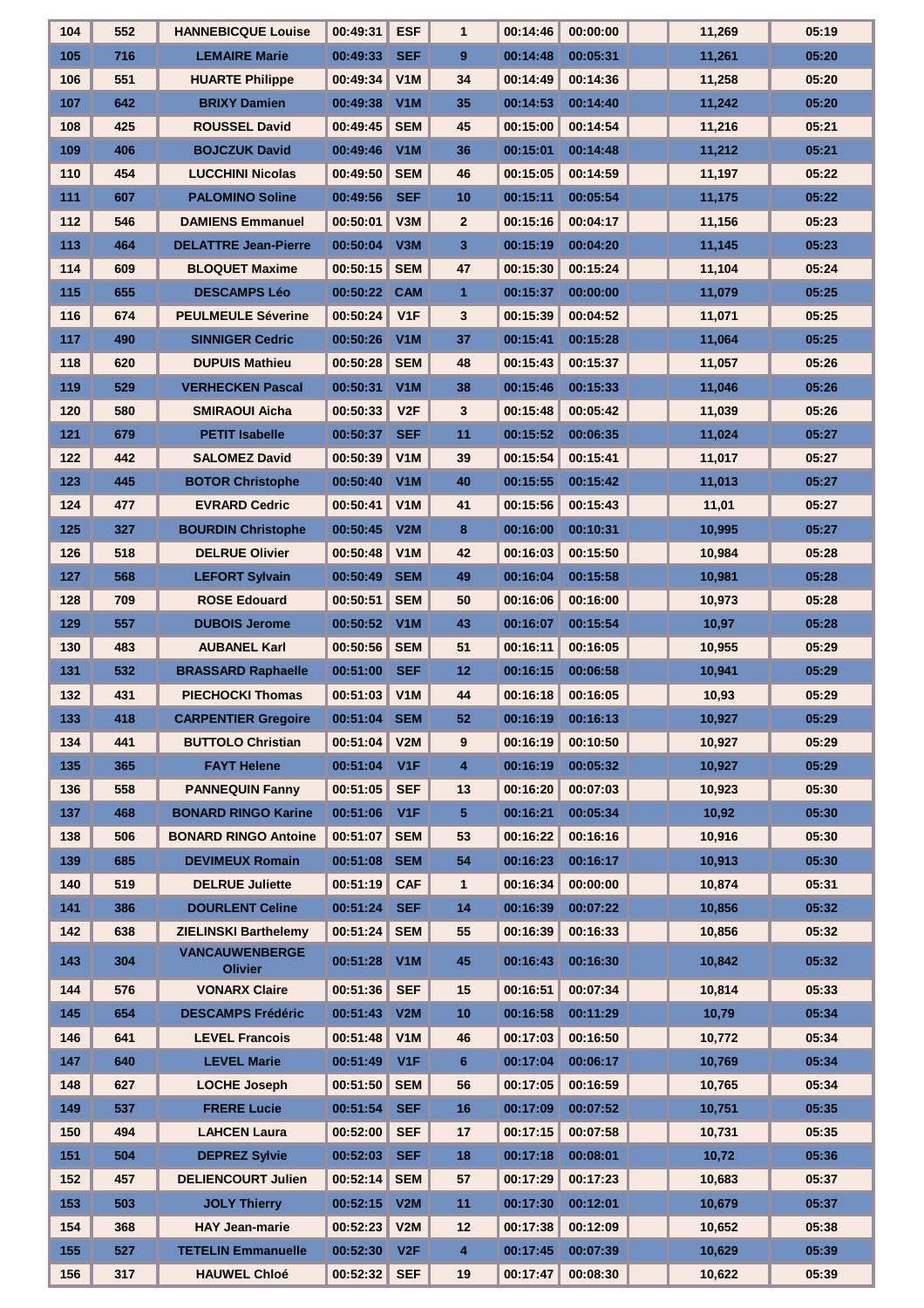| 104 | 552 | <b>HANNEBICQUE Louise</b>               | 00:49:31     | <b>ESF</b>       | $\mathbf 1$  | 00:14:46          | 00:00:00 | 11,269 | 05:19 |
|-----|-----|-----------------------------------------|--------------|------------------|--------------|-------------------|----------|--------|-------|
| 105 | 716 | <b>LEMAIRE Marie</b>                    | 00:49:33     | <b>SEF</b>       | 9            | 00:14:48          | 00:05:31 | 11,261 | 05:20 |
| 106 | 551 | <b>HUARTE Philippe</b>                  | 00:49:34     | V1M              | 34           | 00:14:49          | 00:14:36 | 11,258 | 05:20 |
| 107 | 642 | <b>BRIXY Damien</b>                     | 00:49:38     | V1M              | 35           | 00:14:53          | 00:14:40 | 11,242 | 05:20 |
| 108 | 425 | <b>ROUSSEL David</b>                    | 00:49:45     | <b>SEM</b>       | 45           | 00:15:00          | 00:14:54 | 11,216 | 05:21 |
| 109 | 406 | <b>BOJCZUK David</b>                    | 00:49:46     | V1M              | 36           | 00:15:01          | 00:14:48 | 11,212 | 05:21 |
| 110 | 454 | <b>LUCCHINI Nicolas</b>                 | 00:49:50     | <b>SEM</b>       | 46           | 00:15:05          | 00:14:59 | 11,197 | 05:22 |
| 111 | 607 | <b>PALOMINO Soline</b>                  | 00:49:56     | <b>SEF</b>       | 10           | 00:15:11          | 00:05:54 | 11,175 | 05:22 |
| 112 | 546 | <b>DAMIENS Emmanuel</b>                 | 00:50:01     | V3M              | $\mathbf{2}$ | 00:15:16          | 00:04:17 | 11,156 | 05:23 |
| 113 | 464 | <b>DELATTRE Jean-Pierre</b>             | 00:50:04     | V3M              | 3            | 00:15:19          | 00:04:20 | 11,145 | 05:23 |
| 114 | 609 | <b>BLOQUET Maxime</b>                   | 00:50:15     | <b>SEM</b>       | 47           | 00:15:30          | 00:15:24 | 11,104 | 05:24 |
| 115 | 655 | <b>DESCAMPS Léo</b>                     | 00:50:22     | <b>CAM</b>       | $\mathbf{1}$ | 00:15:37          | 00:00:00 | 11,079 | 05:25 |
| 116 | 674 | <b>PEULMEULE Séverine</b>               | 00:50:24     | V <sub>1F</sub>  | 3            | 00:15:39          | 00:04:52 | 11,071 | 05:25 |
| 117 | 490 | <b>SINNIGER Cedric</b>                  | 00:50:26     | V1M              | 37           | 00:15:41          | 00:15:28 | 11,064 | 05:25 |
| 118 | 620 | <b>DUPUIS Mathieu</b>                   | 00:50:28     | <b>SEM</b>       | 48           | 00:15:43          | 00:15:37 | 11,057 | 05:26 |
| 119 | 529 | <b>VERHECKEN Pascal</b>                 | 00:50:31     | V1M              | 38           | 00:15:46          | 00:15:33 | 11,046 | 05:26 |
| 120 | 580 | <b>SMIRAOUI Aicha</b>                   | 00:50:33     | V2F              | 3            | 00:15:48          | 00:05:42 | 11,039 | 05:26 |
| 121 | 679 | <b>PETIT Isabelle</b>                   | 00:50:37     | <b>SEF</b>       | 11           | 00:15:52          | 00:06:35 | 11,024 | 05:27 |
| 122 | 442 | <b>SALOMEZ David</b>                    | 00:50:39     | V1M              | 39           | 00:15:54          | 00:15:41 | 11,017 | 05:27 |
| 123 | 445 | <b>BOTOR Christophe</b>                 | 00:50:40     | V <sub>1</sub> M | 40           | 00:15:55          | 00:15:42 | 11,013 | 05:27 |
| 124 | 477 | <b>EVRARD Cedric</b>                    | 00:50:41     | V1M              | 41           | 00:15:56          | 00:15:43 | 11,01  | 05:27 |
| 125 | 327 | <b>BOURDIN Christophe</b>               | 00:50:45     | V2M              | 8            | 00:16:00          | 00:10:31 | 10,995 | 05:27 |
| 126 | 518 | <b>DELRUE Olivier</b>                   | 00:50:48     | V1M              | 42           | 00:16:03          | 00:15:50 | 10,984 | 05:28 |
| 127 | 568 | <b>LEFORT Sylvain</b>                   | 00:50:49     | <b>SEM</b>       | 49           | 00:16:04          | 00:15:58 | 10,981 | 05:28 |
| 128 | 709 | <b>ROSE Edouard</b>                     | 00:50:51     | <b>SEM</b>       | 50           | 00:16:06          | 00:16:00 | 10,973 | 05:28 |
| 129 | 557 | <b>DUBOIS Jerome</b>                    | 00:50:52     | V <sub>1</sub> M | 43           | 00:16:07          | 00:15:54 | 10,97  | 05:28 |
| 130 | 483 | <b>AUBANEL Karl</b>                     | 00:50:56     | <b>SEM</b>       | 51           | 00:16:11          | 00:16:05 | 10,955 | 05:29 |
| 131 | 532 | <b>BRASSARD Raphaelle</b>               | 00:51:00     | <b>SEF</b>       | 12           | 00:16:15          | 00:06:58 | 10,941 | 05:29 |
| 132 | 431 | <b>PIECHOCKI Thomas</b>                 | 00:51:03     | V <sub>1</sub> M | 44           | 00:16:18          | 00:16:05 | 10,93  | 05:29 |
| 133 | 418 | <b>CARPENTIER Gregoire</b>              | 00:51:04 SEM |                  | 52           | 00:16:19 00:16:13 |          | 10,927 | 05:29 |
| 134 | 441 | <b>BUTTOLO Christian</b>                | 00:51:04     | V2M              | 9            | 00:16:19          | 00:10:50 | 10,927 | 05:29 |
| 135 | 365 | <b>FAYT Helene</b>                      | 00:51:04     | V <sub>1</sub> F | 4            | 00:16:19          | 00:05:32 | 10,927 | 05:29 |
| 136 | 558 | <b>PANNEQUIN Fanny</b>                  | 00:51:05     | <b>SEF</b>       | 13           | 00:16:20          | 00:07:03 | 10,923 | 05:30 |
| 137 | 468 | <b>BONARD RINGO Karine</b>              | 00:51:06     | V <sub>1</sub> F | 5            | 00:16:21          | 00:05:34 | 10,92  | 05:30 |
| 138 | 506 | <b>BONARD RINGO Antoine</b>             | 00:51:07     | <b>SEM</b>       | 53           | 00:16:22          | 00:16:16 | 10,916 | 05:30 |
| 139 | 685 | <b>DEVIMEUX Romain</b>                  | 00:51:08 SEM |                  | 54           | 00:16:23          | 00:16:17 | 10,913 | 05:30 |
| 140 | 519 | <b>DELRUE Juliette</b>                  | 00:51:19     | <b>CAF</b>       | $\mathbf{1}$ | 00:16:34          | 00:00:00 | 10,874 | 05:31 |
| 141 | 386 | <b>DOURLENT Celine</b>                  | 00:51:24     | <b>SEF</b>       | 14           | 00:16:39          | 00:07:22 | 10,856 | 05:32 |
| 142 | 638 | <b>ZIELINSKI Barthelemy</b>             | 00:51:24     | <b>SEM</b>       | 55           | 00:16:39          | 00:16:33 | 10,856 | 05:32 |
| 143 | 304 | <b>VANCAUWENBERGE</b><br><b>Olivier</b> | 00:51:28     | $\sqrt{1M}$      | 45           | 00:16:43          | 00:16:30 | 10,842 | 05:32 |
| 144 | 576 | <b>VONARX Claire</b>                    | 00:51:36     | <b>SEF</b>       | 15           | 00:16:51          | 00:07:34 | 10,814 | 05:33 |
| 145 | 654 | <b>DESCAMPS Frédéric</b>                | 00:51:43     | V2M              | 10           | 00:16:58          | 00:11:29 | 10,79  | 05:34 |
| 146 | 641 | <b>LEVEL Francois</b>                   | 00:51:48     | V1M              | 46           | 00:17:03          | 00:16:50 | 10,772 | 05:34 |
| 147 | 640 | <b>LEVEL Marie</b>                      | 00:51:49     | V <sub>1</sub> F | 6            | 00:17:04          | 00:06:17 | 10,769 | 05:34 |
| 148 | 627 | <b>LOCHE Joseph</b>                     | 00:51:50     | <b>SEM</b>       | 56           | 00:17:05          | 00:16:59 | 10,765 | 05:34 |
| 149 | 537 | <b>FRERE Lucie</b>                      | 00:51:54     | <b>SEF</b>       | 16           | 00:17:09          | 00:07:52 | 10,751 | 05:35 |
| 150 | 494 | <b>LAHCEN Laura</b>                     | 00:52:00     | <b>SEF</b>       | 17           | 00:17:15          | 00:07:58 | 10,731 | 05:35 |
| 151 | 504 | <b>DEPREZ Sylvie</b>                    | 00:52:03     | <b>SEF</b>       | 18           | 00:17:18          | 00:08:01 | 10,72  | 05:36 |
| 152 | 457 | <b>DELIENCOURT Julien</b>               | 00:52:14     | <b>SEM</b>       | 57           | 00:17:29          | 00:17:23 | 10,683 | 05:37 |
| 153 | 503 | <b>JOLY Thierry</b>                     | 00:52:15 V2M |                  | 11           | 00:17:30          | 00:12:01 | 10,679 | 05:37 |
| 154 | 368 | <b>HAY Jean-marie</b>                   | 00:52:23     | V2M              | 12           | 00:17:38          | 00:12:09 | 10,652 | 05:38 |
| 155 | 527 | <b>TETELIN Emmanuelle</b>               | 00:52:30     | V2F              | 4            | 00:17:45          | 00:07:39 | 10,629 | 05:39 |
| 156 | 317 | <b>HAUWEL Chloé</b>                     | 00:52:32     | <b>SEF</b>       | 19           | 00:17:47          | 00:08:30 | 10,622 | 05:39 |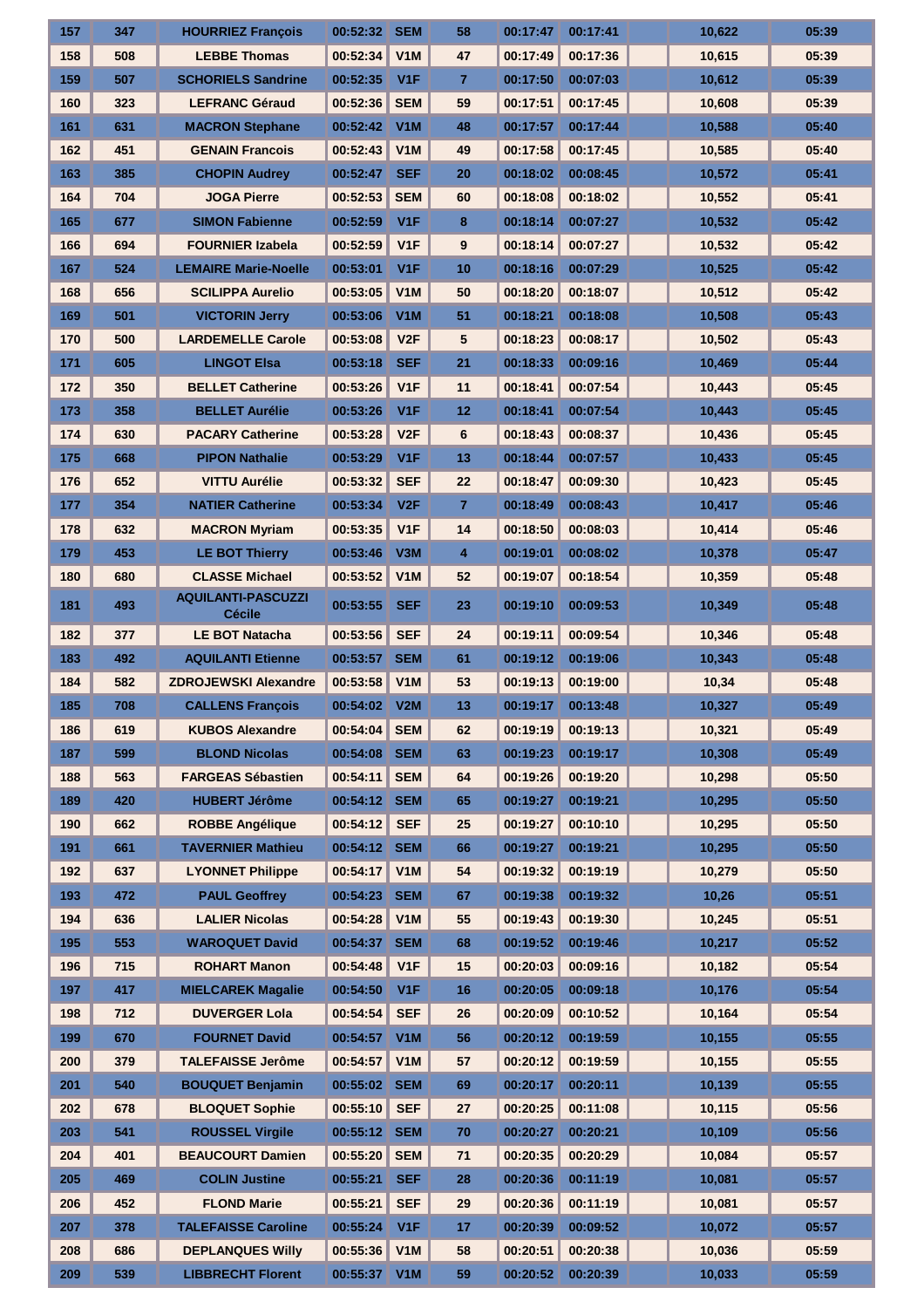| 157 | 347 | <b>HOURRIEZ François</b>                   | 00:52:32     | <b>SEM</b>       | 58              | 00:17:47 | 00:17:41 | 10,622 | 05:39 |
|-----|-----|--------------------------------------------|--------------|------------------|-----------------|----------|----------|--------|-------|
| 158 | 508 | <b>LEBBE Thomas</b>                        | 00:52:34     | V1M              | 47              | 00:17:49 | 00:17:36 | 10,615 | 05:39 |
| 159 | 507 | <b>SCHORIELS Sandrine</b>                  | 00:52:35     | V <sub>1F</sub>  | $\overline{7}$  | 00:17:50 | 00:07:03 | 10,612 | 05:39 |
| 160 | 323 | <b>LEFRANC Géraud</b>                      | 00:52:36     | <b>SEM</b>       | 59              | 00:17:51 | 00:17:45 | 10,608 | 05:39 |
| 161 | 631 | <b>MACRON Stephane</b>                     | 00:52:42     | V1M              | 48              | 00:17:57 | 00:17:44 | 10,588 | 05:40 |
| 162 | 451 | <b>GENAIN Francois</b>                     | 00:52:43     | V1M              | 49              | 00:17:58 | 00:17:45 | 10,585 | 05:40 |
| 163 | 385 | <b>CHOPIN Audrey</b>                       | 00:52:47     | <b>SEF</b>       | 20              | 00:18:02 | 00:08:45 | 10,572 | 05:41 |
| 164 | 704 | <b>JOGA Pierre</b>                         | 00:52:53     | <b>SEM</b>       | 60              | 00:18:08 | 00:18:02 | 10,552 | 05:41 |
| 165 | 677 | <b>SIMON Fabienne</b>                      | 00:52:59     | V1F              | 8               | 00:18:14 | 00:07:27 | 10,532 | 05:42 |
| 166 | 694 | <b>FOURNIER Izabela</b>                    | 00:52:59     | V <sub>1F</sub>  | 9               | 00:18:14 | 00:07:27 | 10,532 | 05:42 |
| 167 | 524 | <b>LEMAIRE Marie-Noelle</b>                | 00:53:01     | V <sub>1</sub> F | 10              | 00:18:16 | 00:07:29 | 10,525 | 05:42 |
| 168 | 656 | <b>SCILIPPA Aurelio</b>                    | 00:53:05     | V1M              | 50              | 00:18:20 | 00:18:07 | 10,512 | 05:42 |
| 169 | 501 | <b>VICTORIN Jerry</b>                      | 00:53:06     | V1M              | 51              | 00:18:21 | 00:18:08 | 10,508 | 05:43 |
| 170 | 500 | <b>LARDEMELLE Carole</b>                   | 00:53:08     | V2F              | 5               | 00:18:23 | 00:08:17 | 10,502 | 05:43 |
| 171 | 605 | <b>LINGOT Elsa</b>                         | 00:53:18     | <b>SEF</b>       | 21              | 00:18:33 | 00:09:16 | 10,469 | 05:44 |
| 172 | 350 | <b>BELLET Catherine</b>                    | 00:53:26     | V <sub>1</sub> F | 11              | 00:18:41 | 00:07:54 | 10,443 | 05:45 |
| 173 | 358 | <b>BELLET Aurélie</b>                      | 00:53:26     | V <sub>1F</sub>  | 12              | 00:18:41 | 00:07:54 | 10,443 | 05:45 |
| 174 | 630 | <b>PACARY Catherine</b>                    | 00:53:28     | V2F              | $6\phantom{1}6$ | 00:18:43 | 00:08:37 | 10,436 | 05:45 |
| 175 | 668 | <b>PIPON Nathalie</b>                      | 00:53:29     | V1F              | 13              | 00:18:44 | 00:07:57 | 10,433 | 05:45 |
| 176 | 652 | <b>VITTU Aurélie</b>                       | 00:53:32     | <b>SEF</b>       | 22              | 00:18:47 | 00:09:30 | 10,423 | 05:45 |
| 177 | 354 | <b>NATIER Catherine</b>                    | 00:53:34     | V2F              | $\overline{7}$  | 00:18:49 | 00:08:43 | 10,417 | 05:46 |
| 178 | 632 | <b>MACRON Myriam</b>                       | 00:53:35     | V1F              | 14              | 00:18:50 | 00:08:03 | 10,414 | 05:46 |
| 179 | 453 | <b>LE BOT Thierry</b>                      | 00:53:46     | V3M              | 4               | 00:19:01 | 00:08:02 | 10,378 | 05:47 |
| 180 | 680 | <b>CLASSE Michael</b>                      | 00:53:52     | V1M              | 52              | 00:19:07 | 00:18:54 | 10,359 | 05:48 |
| 181 | 493 | <b>AQUILANTI-PASCUZZI</b><br><b>Cécile</b> | 00:53:55     | <b>SEF</b>       | 23              | 00:19:10 | 00:09:53 | 10,349 | 05:48 |
| 182 | 377 | <b>LE BOT Natacha</b>                      | 00:53:56     | <b>SEF</b>       | 24              | 00:19:11 | 00:09:54 | 10.346 | 05:48 |
| 183 | 492 | <b>AQUILANTI Etienne</b>                   | 00:53:57     | <b>SEM</b>       | 61              | 00:19:12 | 00:19:06 | 10,343 | 05:48 |
| 184 | 582 | <b>ZDROJEWSKI Alexandre</b>                | 00:53:58     | V1M              | 53              | 00:19:13 | 00:19:00 | 10,34  | 05:48 |
| 185 | 708 | <b>CALLENS François</b>                    | 00:54:02 V2M |                  | 13              | 00:19:17 | 00:13:48 | 10,327 | 05:49 |
| 186 | 619 | <b>KUBOS Alexandre</b>                     | 00:54:04     | <b>SEM</b>       | 62              | 00:19:19 | 00:19:13 | 10,321 | 05:49 |
| 187 | 599 | <b>BLOND Nicolas</b>                       | 00:54:08     | <b>SEM</b>       | 63              | 00:19:23 | 00:19:17 | 10,308 | 05:49 |
| 188 | 563 | <b>FARGEAS Sébastien</b>                   | 00:54:11     | <b>SEM</b>       | 64              | 00:19:26 | 00:19:20 | 10,298 | 05:50 |
| 189 | 420 | <b>HUBERT Jérôme</b>                       | 00:54:12     | <b>SEM</b>       | 65              | 00:19:27 | 00:19:21 | 10,295 | 05:50 |
| 190 | 662 | <b>ROBBE Angélique</b>                     | 00:54:12     | <b>SEF</b>       | 25              | 00:19:27 | 00:10:10 | 10,295 | 05:50 |
| 191 | 661 | <b>TAVERNIER Mathieu</b>                   | 00:54:12     | <b>SEM</b>       | 66              | 00:19:27 | 00:19:21 | 10,295 | 05:50 |
| 192 | 637 | <b>LYONNET Philippe</b>                    | 00:54:17     | V1M              | 54              | 00:19:32 | 00:19:19 | 10,279 | 05:50 |
| 193 | 472 | <b>PAUL Geoffrey</b>                       | 00:54:23     | <b>SEM</b>       | 67              | 00:19:38 | 00:19:32 | 10,26  | 05:51 |
| 194 | 636 | <b>LALIER Nicolas</b>                      | 00:54:28     | V1M              | 55              | 00:19:43 | 00:19:30 | 10,245 | 05:51 |
| 195 | 553 | <b>WAROQUET David</b>                      | 00:54:37     | <b>SEM</b>       | 68              | 00:19:52 | 00:19:46 | 10,217 | 05:52 |
| 196 | 715 | <b>ROHART Manon</b>                        | 00:54:48     | V <sub>1</sub> F | 15              | 00:20:03 | 00:09:16 | 10,182 | 05:54 |
| 197 | 417 | <b>MIELCAREK Magalie</b>                   | 00:54:50     | V <sub>1</sub> F | 16              | 00:20:05 | 00:09:18 | 10,176 | 05:54 |
| 198 | 712 | <b>DUVERGER Lola</b>                       | 00:54:54     | <b>SEF</b>       | 26              | 00:20:09 | 00:10:52 | 10,164 | 05:54 |
| 199 | 670 | <b>FOURNET David</b>                       | 00:54:57     | V <sub>1</sub> M | 56              | 00:20:12 | 00:19:59 | 10,155 | 05:55 |
| 200 | 379 | <b>TALEFAISSE Jerôme</b>                   | 00:54:57     | V1M              | 57              | 00:20:12 | 00:19:59 | 10,155 | 05:55 |
| 201 | 540 | <b>BOUQUET Benjamin</b>                    | 00:55:02 SEM |                  | 69              | 00:20:17 | 00:20:11 | 10,139 | 05:55 |
| 202 | 678 | <b>BLOQUET Sophie</b>                      | 00:55:10     | <b>SEF</b>       | 27              | 00:20:25 | 00:11:08 | 10,115 | 05:56 |
| 203 | 541 | <b>ROUSSEL Virgile</b>                     | 00:55:12     | <b>SEM</b>       | 70              | 00:20:27 | 00:20:21 | 10,109 | 05:56 |
| 204 | 401 | <b>BEAUCOURT Damien</b>                    | 00:55:20     | <b>SEM</b>       | 71              | 00:20:35 | 00:20:29 | 10,084 | 05:57 |
| 205 | 469 | <b>COLIN Justine</b>                       | 00:55:21     | <b>SEF</b>       | 28              | 00:20:36 | 00:11:19 | 10,081 | 05:57 |
| 206 | 452 | <b>FLOND Marie</b>                         | 00:55:21     | <b>SEF</b>       | 29              | 00:20:36 | 00:11:19 | 10,081 | 05:57 |
| 207 | 378 | <b>TALEFAISSE Caroline</b>                 | 00:55:24     | V <sub>1</sub> F | 17              | 00:20:39 | 00:09:52 | 10,072 | 05:57 |
| 208 | 686 | <b>DEPLANQUES Willy</b>                    | 00:55:36     | V1M              | 58              | 00:20:51 | 00:20:38 | 10,036 | 05:59 |
|     |     |                                            |              |                  |                 |          |          |        |       |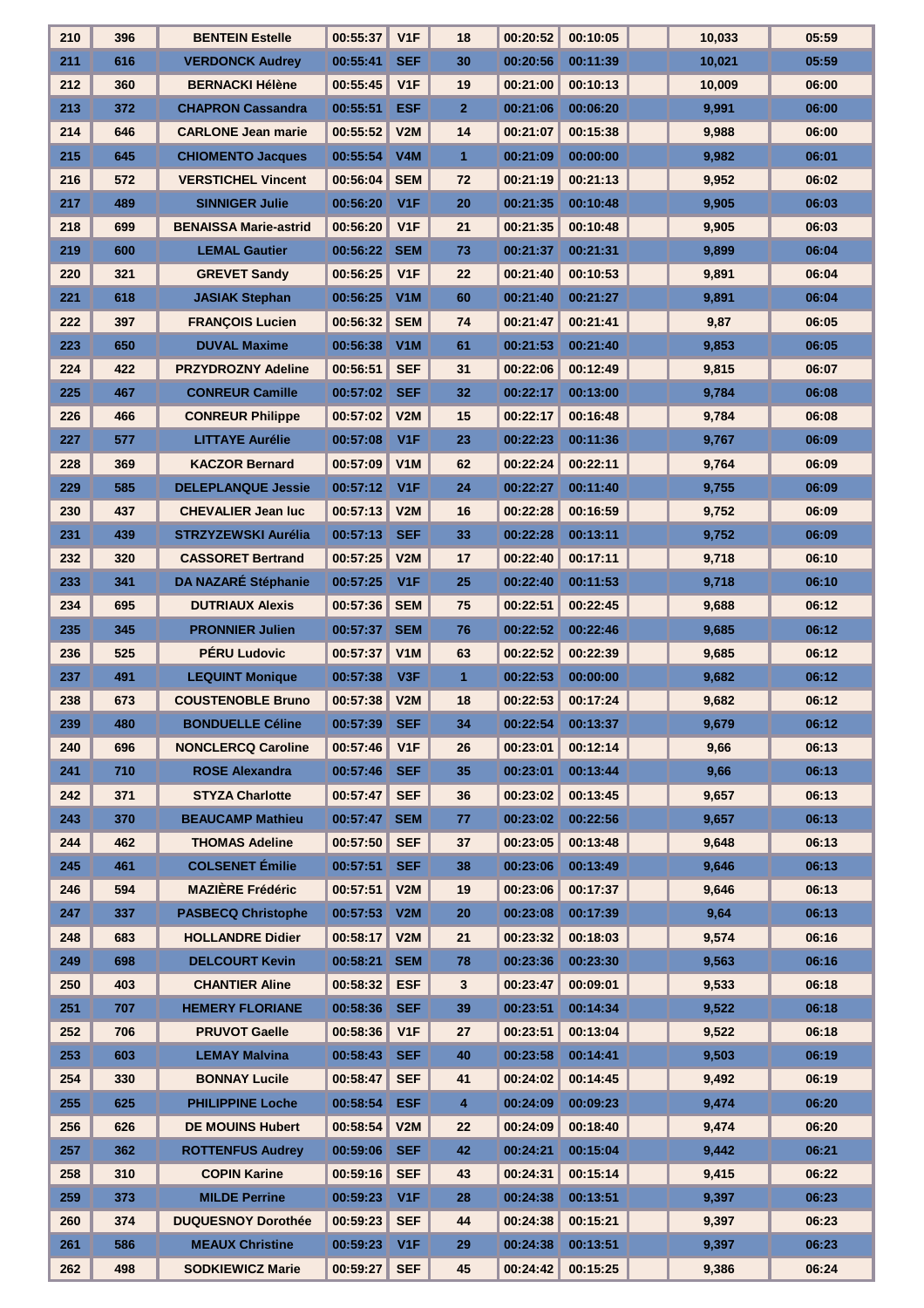| 210 | 396 | <b>BENTEIN Estelle</b>       | 00:55:37     | V <sub>1</sub> F | 18             | 00:20:52 | 00:10:05          | 10.033 | 05:59 |
|-----|-----|------------------------------|--------------|------------------|----------------|----------|-------------------|--------|-------|
| 211 | 616 | <b>VERDONCK Audrey</b>       | 00:55:41     | <b>SEF</b>       | 30             | 00:20:56 | 00:11:39          | 10,021 | 05:59 |
| 212 | 360 | <b>BERNACKI Hélène</b>       | 00:55:45     | V <sub>1F</sub>  | 19             | 00:21:00 | 00:10:13          | 10,009 | 06:00 |
| 213 | 372 | <b>CHAPRON Cassandra</b>     | 00:55:51     | <b>ESF</b>       | $\overline{2}$ | 00:21:06 | 00:06:20          | 9,991  | 06:00 |
| 214 | 646 | <b>CARLONE Jean marie</b>    | 00:55:52     | V2M              | 14             | 00:21:07 | 00:15:38          | 9,988  | 06:00 |
| 215 | 645 | <b>CHIOMENTO Jacques</b>     | 00:55:54     | V4M              | $\mathbf{1}$   | 00:21:09 | 00:00:00          | 9,982  | 06:01 |
| 216 | 572 | <b>VERSTICHEL Vincent</b>    | 00:56:04     | <b>SEM</b>       | 72             | 00:21:19 | 00:21:13          | 9,952  | 06:02 |
| 217 | 489 | <b>SINNIGER Julie</b>        | 00:56:20     | V <sub>1</sub> F | 20             | 00:21:35 | 00:10:48          | 9,905  | 06:03 |
| 218 | 699 | <b>BENAISSA Marie-astrid</b> | 00:56:20     | V <sub>1</sub> F | 21             | 00:21:35 | 00:10:48          | 9,905  | 06:03 |
| 219 | 600 | <b>LEMAL Gautier</b>         | 00:56:22     | <b>SEM</b>       | 73             | 00:21:37 | 00:21:31          | 9,899  | 06:04 |
| 220 | 321 | <b>GREVET Sandy</b>          | 00:56:25     | V <sub>1</sub> F | 22             | 00:21:40 | 00:10:53          | 9,891  | 06:04 |
| 221 | 618 | <b>JASIAK Stephan</b>        | 00:56:25     | V1M              | 60             | 00:21:40 | 00:21:27          | 9,891  | 06:04 |
| 222 | 397 | <b>FRANÇOIS Lucien</b>       | 00:56:32     | <b>SEM</b>       | 74             | 00:21:47 | 00:21:41          | 9,87   | 06:05 |
| 223 | 650 | <b>DUVAL Maxime</b>          | 00:56:38     | V1M              | 61             | 00:21:53 | 00:21:40          | 9,853  | 06:05 |
| 224 | 422 | <b>PRZYDROZNY Adeline</b>    | 00:56:51     | <b>SEF</b>       | 31             | 00:22:06 | 00:12:49          | 9,815  | 06:07 |
| 225 | 467 | <b>CONREUR Camille</b>       | 00:57:02     | <b>SEF</b>       | 32             | 00:22:17 | 00:13:00          | 9,784  | 06:08 |
| 226 | 466 | <b>CONREUR Philippe</b>      | 00:57:02     | V2M              | 15             | 00:22:17 | 00:16:48          | 9,784  | 06:08 |
| 227 | 577 | <b>LITTAYE Aurélie</b>       | 00:57:08     | V1F              | 23             | 00:22:23 | 00:11:36          | 9,767  | 06:09 |
| 228 | 369 | <b>KACZOR Bernard</b>        | 00:57:09     | V1M              | 62             | 00:22:24 | 00:22:11          | 9,764  | 06:09 |
| 229 | 585 | <b>DELEPLANQUE Jessie</b>    | 00:57:12     | V <sub>1F</sub>  | 24             | 00:22:27 | 00:11:40          | 9,755  | 06:09 |
| 230 | 437 | <b>CHEVALIER Jean luc</b>    | 00:57:13     | V2M              | 16             | 00:22:28 | 00:16:59          | 9,752  | 06:09 |
| 231 | 439 | <b>STRZYZEWSKI Aurélia</b>   | 00:57:13     | <b>SEF</b>       | 33             | 00:22:28 | 00:13:11          | 9,752  | 06:09 |
| 232 | 320 | <b>CASSORET Bertrand</b>     | 00:57:25     | V2M              | 17             | 00:22:40 | 00:17:11          | 9,718  | 06:10 |
| 233 | 341 | DA NAZARÉ Stéphanie          | 00:57:25     | V <sub>1</sub> F | 25             | 00:22:40 | 00:11:53          | 9,718  | 06:10 |
| 234 | 695 | <b>DUTRIAUX Alexis</b>       | 00:57:36     | <b>SEM</b>       | 75             | 00:22:51 | 00:22:45          | 9,688  | 06:12 |
| 235 | 345 | <b>PRONNIER Julien</b>       | 00:57:37     | <b>SEM</b>       | 76             | 00:22:52 | 00:22:46          | 9,685  | 06:12 |
| 236 | 525 | <b>PÉRU Ludovic</b>          | 00:57:37     | V <sub>1</sub> M | 63             | 00:22:52 | 00:22:39          | 9,685  | 06:12 |
| 237 | 491 | <b>LEQUINT Monique</b>       | 00:57:38     | V3F              | $\mathbf{1}$   | 00:22:53 | 00:00:00          | 9,682  | 06:12 |
| 238 | 673 | <b>COUSTENOBLE Bruno</b>     | 00:57:38     | V2M              | 18             | 00:22:53 | 00:17:24          | 9,682  | 06:12 |
| 239 | 480 | <b>BONDUELLE Céline</b>      | 00:57:39 SEF |                  | 34             |          | 00:22:54 00:13:37 | 9,679  | 06:12 |
| 240 | 696 | <b>NONCLERCQ Caroline</b>    | 00:57:46     | V <sub>1</sub> F | 26             | 00:23:01 | 00:12:14          | 9,66   | 06:13 |
| 241 | 710 | <b>ROSE Alexandra</b>        | 00:57:46     | <b>SEF</b>       | 35             | 00:23:01 | 00:13:44          | 9,66   | 06:13 |
| 242 | 371 | <b>STYZA Charlotte</b>       | 00:57:47     | <b>SEF</b>       | 36             | 00:23:02 | 00:13:45          | 9,657  | 06:13 |
| 243 | 370 | <b>BEAUCAMP Mathieu</b>      | 00:57:47     | <b>SEM</b>       | 77             | 00:23:02 | 00:22:56          | 9,657  | 06:13 |
| 244 | 462 | <b>THOMAS Adeline</b>        | 00:57:50     | <b>SEF</b>       | 37             | 00:23:05 | 00:13:48          | 9,648  | 06:13 |
| 245 | 461 | <b>COLSENET Émilie</b>       | 00:57:51     | <b>SEF</b>       | 38             | 00:23:06 | 00:13:49          | 9,646  | 06:13 |
| 246 | 594 | <b>MAZIÈRE Frédéric</b>      | 00:57:51     | V2M              | 19             | 00:23:06 | 00:17:37          | 9,646  | 06:13 |
| 247 | 337 | <b>PASBECQ Christophe</b>    | 00:57:53     | V2M              | 20             | 00:23:08 | 00:17:39          | 9,64   | 06:13 |
| 248 | 683 | <b>HOLLANDRE Didier</b>      | 00:58:17     | V2M              | 21             | 00:23:32 | 00:18:03          | 9,574  | 06:16 |
| 249 | 698 | <b>DELCOURT Kevin</b>        | 00:58:21     | <b>SEM</b>       | 78             | 00:23:36 | 00:23:30          | 9,563  | 06:16 |
| 250 | 403 | <b>CHANTIER Aline</b>        | 00:58:32     | <b>ESF</b>       | 3              | 00:23:47 | 00:09:01          | 9,533  | 06:18 |
| 251 | 707 | <b>HEMERY FLORIANE</b>       | 00:58:36     | <b>SEF</b>       | 39             | 00:23:51 | 00:14:34          | 9,522  | 06:18 |
| 252 | 706 | <b>PRUVOT Gaelle</b>         | 00:58:36     | V <sub>1</sub> F | 27             | 00:23:51 | 00:13:04          | 9,522  | 06:18 |
| 253 | 603 | <b>LEMAY Malvina</b>         | 00:58:43     | <b>SEF</b>       | 40             | 00:23:58 | 00:14:41          | 9,503  | 06:19 |
| 254 | 330 | <b>BONNAY Lucile</b>         | 00:58:47     | <b>SEF</b>       | 41             | 00:24:02 | 00:14:45          | 9,492  | 06:19 |
| 255 | 625 | <b>PHILIPPINE Loche</b>      | 00:58:54     | <b>ESF</b>       | 4              | 00:24:09 | 00:09:23          | 9,474  | 06:20 |
| 256 | 626 | <b>DE MOUINS Hubert</b>      | 00:58:54     | V2M              | 22             | 00:24:09 | 00:18:40          | 9,474  | 06:20 |
| 257 | 362 | <b>ROTTENFUS Audrey</b>      | 00:59:06     | <b>SEF</b>       | 42             | 00:24:21 | 00:15:04          | 9,442  | 06:21 |
| 258 | 310 | <b>COPIN Karine</b>          | 00:59:16     | <b>SEF</b>       | 43             | 00:24:31 | 00:15:14          | 9,415  | 06:22 |
| 259 | 373 | <b>MILDE Perrine</b>         | 00:59:23     | V1F              | 28             | 00:24:38 | 00:13:51          | 9,397  | 06:23 |
| 260 | 374 | <b>DUQUESNOY Dorothée</b>    | 00:59:23     | <b>SEF</b>       | 44             | 00:24:38 | 00:15:21          | 9,397  | 06:23 |
| 261 | 586 | <b>MEAUX Christine</b>       | 00:59:23     | V1F              | 29             | 00:24:38 | 00:13:51          | 9,397  | 06:23 |
| 262 | 498 | <b>SODKIEWICZ Marie</b>      | 00:59:27     | <b>SEF</b>       | 45             | 00:24:42 | 00:15:25          | 9,386  | 06:24 |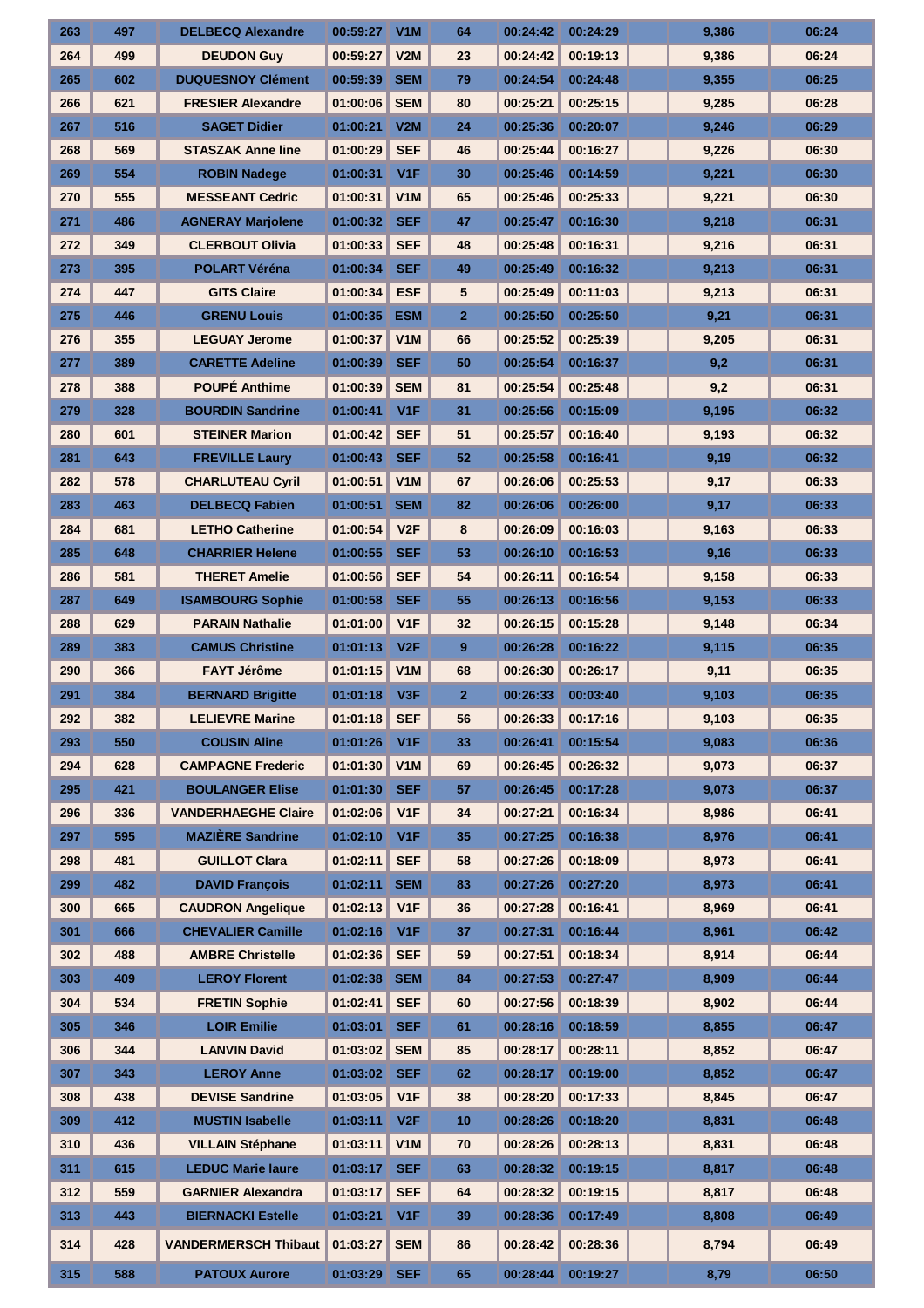| 263 | 497 | <b>DELBECQ Alexandre</b>    | 00:59:27       | V <sub>1</sub> M | 64             | 00:24:42 | 00:24:29            | 9,386 | 06:24 |
|-----|-----|-----------------------------|----------------|------------------|----------------|----------|---------------------|-------|-------|
| 264 | 499 | <b>DEUDON Guy</b>           | 00:59:27       | V2M              | 23             | 00:24:42 | 00:19:13            | 9,386 | 06:24 |
| 265 | 602 | <b>DUQUESNOY Clément</b>    | 00:59:39       | <b>SEM</b>       | 79             | 00:24:54 | 00:24:48            | 9,355 | 06:25 |
| 266 | 621 | <b>FRESIER Alexandre</b>    | 01:00:06       | <b>SEM</b>       | 80             | 00:25:21 | 00:25:15            | 9,285 | 06:28 |
| 267 | 516 | <b>SAGET Didier</b>         | 01:00:21       | V2M              | 24             | 00:25:36 | 00:20:07            | 9,246 | 06:29 |
| 268 | 569 | <b>STASZAK Anne line</b>    | 01:00:29       | <b>SEF</b>       | 46             | 00:25:44 | 00:16:27            | 9,226 | 06:30 |
| 269 | 554 | <b>ROBIN Nadege</b>         | 01:00:31       | V <sub>1</sub> F | 30             | 00:25:46 | 00:14:59            | 9,221 | 06:30 |
| 270 | 555 | <b>MESSEANT Cedric</b>      | 01:00:31       | V1M              | 65             | 00:25:46 | 00:25:33            | 9,221 | 06:30 |
| 271 | 486 | <b>AGNERAY Marjolene</b>    | 01:00:32       | <b>SEF</b>       | 47             | 00:25:47 | 00:16:30            | 9,218 | 06:31 |
| 272 | 349 | <b>CLERBOUT Olivia</b>      | 01:00:33       | <b>SEF</b>       | 48             | 00:25:48 | 00:16:31            | 9,216 | 06:31 |
| 273 | 395 | <b>POLART Véréna</b>        | 01:00:34       | <b>SEF</b>       | 49             | 00:25:49 | 00:16:32            | 9,213 | 06:31 |
| 274 | 447 | <b>GITS Claire</b>          | 01:00:34       | <b>ESF</b>       | 5              | 00:25:49 | 00:11:03            | 9,213 | 06:31 |
| 275 | 446 | <b>GRENU Louis</b>          | 01:00:35       | <b>ESM</b>       | $\overline{2}$ | 00:25:50 | 00:25:50            | 9,21  | 06:31 |
| 276 | 355 | <b>LEGUAY Jerome</b>        | 01:00:37       | V1M              | 66             | 00:25:52 | 00:25:39            | 9,205 | 06:31 |
| 277 | 389 | <b>CARETTE Adeline</b>      | 01:00:39       | <b>SEF</b>       | 50             | 00:25:54 | 00:16:37            | 9,2   | 06:31 |
| 278 | 388 | <b>POUPÉ Anthime</b>        | 01:00:39       | <b>SEM</b>       | 81             | 00:25:54 | 00:25:48            | 9,2   | 06:31 |
| 279 | 328 | <b>BOURDIN Sandrine</b>     | 01:00:41       | V <sub>1F</sub>  | 31             | 00:25:56 | 00:15:09            | 9,195 | 06:32 |
| 280 | 601 | <b>STEINER Marion</b>       | 01:00:42       | <b>SEF</b>       | 51             | 00:25:57 | 00:16:40            | 9,193 | 06:32 |
| 281 | 643 | <b>FREVILLE Laury</b>       | 01:00:43       | <b>SEF</b>       | 52             | 00:25:58 | 00:16:41            | 9,19  | 06:32 |
| 282 | 578 | <b>CHARLUTEAU Cyril</b>     | 01:00:51       | V1M              | 67             | 00:26:06 | 00:25:53            | 9,17  | 06:33 |
| 283 | 463 | <b>DELBECQ Fabien</b>       | 01:00:51       | <b>SEM</b>       | 82             | 00:26:06 | 00:26:00            | 9,17  | 06:33 |
| 284 | 681 | <b>LETHO Catherine</b>      | 01:00:54       | V <sub>2</sub> F | 8              | 00:26:09 | 00:16:03            | 9,163 | 06:33 |
| 285 | 648 | <b>CHARRIER Helene</b>      | 01:00:55       | <b>SEF</b>       | 53             | 00:26:10 | 00:16:53            | 9,16  | 06:33 |
| 286 | 581 | <b>THERET Amelie</b>        | 01:00:56       | <b>SEF</b>       | 54             | 00:26:11 | 00:16:54            | 9,158 | 06:33 |
| 287 | 649 | <b>ISAMBOURG Sophie</b>     | 01:00:58       | <b>SEF</b>       | 55             | 00:26:13 | 00:16:56            | 9,153 | 06:33 |
| 288 | 629 | <b>PARAIN Nathalie</b>      | 01:01:00       | V <sub>1F</sub>  | 32             | 00:26:15 | 00:15:28            | 9,148 | 06:34 |
| 289 | 383 | <b>CAMUS Christine</b>      | 01:01:13       | V2F              | 9              | 00:26:28 | 00:16:22            | 9,115 | 06:35 |
| 290 | 366 | <b>FAYT Jérôme</b>          | 01:01:15       | V1M              | 68             | 00:26:30 | 00:26:17            | 9,11  | 06:35 |
| 291 | 384 | <b>BERNARD Brigitte</b>     | 01:01:18       | V <sub>3F</sub>  | $\overline{2}$ | 00:26:33 | 00:03:40            | 9,103 | 06:35 |
| 292 | 382 | <b>LELIEVRE Marine</b>      | $01:01:18$ SEF |                  | 56             |          | $00:26:33$ 00:17:16 | 9,103 | 06:35 |
| 293 | 550 | <b>COUSIN Aline</b>         | 01:01:26       | V <sub>1</sub> F | 33             | 00:26:41 | 00:15:54            | 9,083 | 06:36 |
| 294 | 628 | <b>CAMPAGNE Frederic</b>    | 01:01:30       | V1M              | 69             | 00:26:45 | 00:26:32            | 9,073 | 06:37 |
| 295 | 421 | <b>BOULANGER Elise</b>      | 01:01:30       | <b>SEF</b>       | 57             | 00:26:45 | 00:17:28            | 9,073 | 06:37 |
| 296 | 336 | <b>VANDERHAEGHE Claire</b>  | 01:02:06       | V1F              | 34             | 00:27:21 | 00:16:34            | 8,986 | 06:41 |
| 297 | 595 | <b>MAZIÈRE Sandrine</b>     | 01:02:10       | V <sub>1</sub> F | 35             | 00:27:25 | 00:16:38            | 8,976 | 06:41 |
| 298 | 481 | <b>GUILLOT Clara</b>        | 01:02:11       | <b>SEF</b>       | 58             | 00:27:26 | 00:18:09            | 8,973 | 06:41 |
| 299 | 482 | <b>DAVID François</b>       | 01:02:11       | <b>SEM</b>       | 83             | 00:27:26 | 00:27:20            | 8,973 | 06:41 |
| 300 | 665 | <b>CAUDRON Angelique</b>    | 01:02:13       | V1F              | 36             | 00:27:28 | 00:16:41            | 8,969 | 06:41 |
| 301 | 666 | <b>CHEVALIER Camille</b>    | 01:02:16       | V <sub>1</sub> F | 37             | 00:27:31 | 00:16:44            | 8,961 | 06:42 |
| 302 | 488 | <b>AMBRE Christelle</b>     | 01:02:36       | <b>SEF</b>       | 59             | 00:27:51 | 00:18:34            | 8,914 | 06:44 |
| 303 | 409 | <b>LEROY Florent</b>        | 01:02:38       | <b>SEM</b>       | 84             | 00:27:53 | 00:27:47            | 8,909 | 06:44 |
| 304 | 534 | <b>FRETIN Sophie</b>        | 01:02:41       | <b>SEF</b>       | 60             | 00:27:56 | 00:18:39            | 8,902 | 06:44 |
| 305 | 346 | <b>LOIR Emilie</b>          | 01:03:01       | <b>SEF</b>       | 61             | 00:28:16 | 00:18:59            | 8,855 | 06:47 |
| 306 | 344 | <b>LANVIN David</b>         | 01:03:02       | <b>SEM</b>       | 85             | 00:28:17 | 00:28:11            | 8,852 | 06:47 |
| 307 | 343 | <b>LEROY Anne</b>           | 01:03:02       | <b>SEF</b>       | 62             | 00:28:17 | 00:19:00            | 8,852 | 06:47 |
| 308 | 438 | <b>DEVISE Sandrine</b>      | 01:03:05       | V <sub>1</sub> F | 38             | 00:28:20 | 00:17:33            | 8,845 | 06:47 |
| 309 | 412 | <b>MUSTIN Isabelle</b>      | 01:03:11       | V2F              | 10             | 00:28:26 | 00:18:20            | 8,831 | 06:48 |
| 310 | 436 | <b>VILLAIN Stéphane</b>     | 01:03:11       | V <sub>1</sub> M | 70             | 00:28:26 | 00:28:13            | 8,831 | 06:48 |
| 311 | 615 | <b>LEDUC Marie laure</b>    | 01:03:17       | <b>SEF</b>       | 63             | 00:28:32 | 00:19:15            | 8,817 | 06:48 |
| 312 | 559 | <b>GARNIER Alexandra</b>    | 01:03:17       | <b>SEF</b>       | 64             | 00:28:32 | 00:19:15            | 8,817 | 06:48 |
| 313 | 443 | <b>BIERNACKI Estelle</b>    | 01:03:21       | V <sub>1</sub> F | 39             | 00:28:36 | 00:17:49            | 8,808 | 06:49 |
| 314 | 428 | <b>VANDERMERSCH Thibaut</b> | 01:03:27       | <b>SEM</b>       | 86             | 00:28:42 | 00:28:36            | 8,794 | 06:49 |
|     |     |                             |                |                  |                |          |                     |       |       |
| 315 | 588 | <b>PATOUX Aurore</b>        | 01:03:29       | <b>SEF</b>       | 65             | 00:28:44 | 00:19:27            | 8,79  | 06:50 |